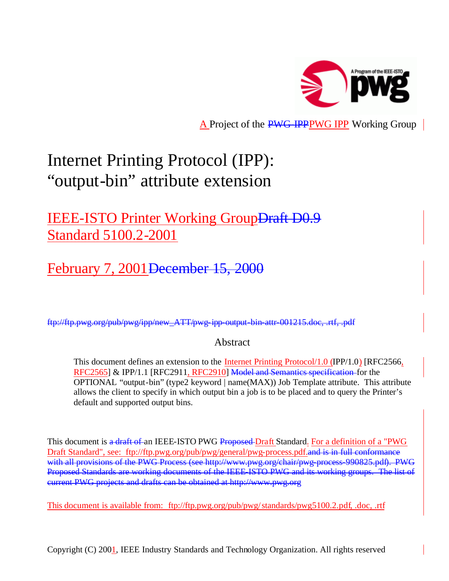

A Project of the PWG-IPPPWG IPP Working Group

# Internet Printing Protocol (IPP): "output-bin" attribute extension

# IEEE-ISTO Printer Working Group<del>Draft D0.9</del> Standard 5100.2-2001

February 7, 2001 December 15, 2000

ftp://ftp.pwg.org/pub/pwg/ipp/new\_ATT/pwg-ipp-output-bin-attr-001215.doc, .rtf, .pdf

# Abstract

This document defines an extension to the Internet Printing Protocol/1.0 (IPP/1.0) [RFC2566, RFC2565] & IPP/1.1 [RFC2911, RFC2910] Model and Semantics specification for the OPTIONAL "output-bin" (type2 keyword | name(MAX)) Job Template attribute. This attribute allows the client to specify in which output bin a job is to be placed and to query the Printer's default and supported output bins.

This document is a draft of an IEEE-ISTO PWG Proposed Draft Standard. For a definition of a "PWG Draft Standard", see: ftp://ftp.pwg.org/pub/pwg/general/pwg-process.pdf. and is in full conformance with all provisions of the PWG Process (see http://www.pwg.org/chair/pwg-process-990825.pdf). PWG Proposed Standards are working documents of the IEEE-ISTO PWG and its working groups. The list of current PWG projects and drafts can be obtained at http://www.pwg.org

This document is available from: ftp://ftp.pwg.org/pub/pwg/standards/pwg5100.2.pdf, .doc, .rtf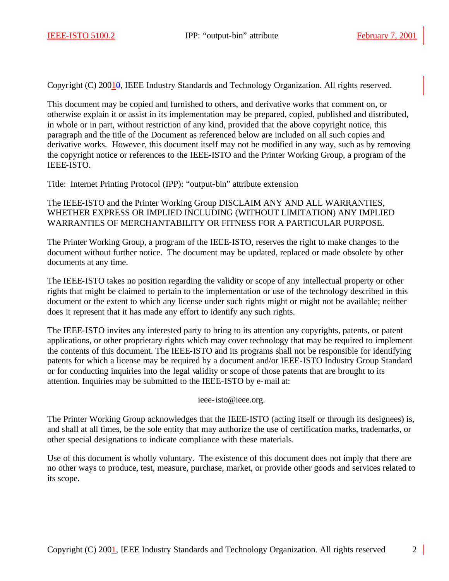Copyright (C) 20010, IEEE Industry Standards and Technology Organization. All rights reserved.

This document may be copied and furnished to others, and derivative works that comment on, or otherwise explain it or assist in its implementation may be prepared, copied, published and distributed, in whole or in part, without restriction of any kind, provided that the above copyright notice, this paragraph and the title of the Document as referenced below are included on all such copies and derivative works. However, this document itself may not be modified in any way, such as by removing the copyright notice or references to the IEEE-ISTO and the Printer Working Group, a program of the IEEE-ISTO.

Title: Internet Printing Protocol (IPP): "output-bin" attribute extension

The IEEE-ISTO and the Printer Working Group DISCLAIM ANY AND ALL WARRANTIES, WHETHER EXPRESS OR IMPLIED INCLUDING (WITHOUT LIMITATION) ANY IMPLIED WARRANTIES OF MERCHANTABILITY OR FITNESS FOR A PARTICULAR PURPOSE.

The Printer Working Group, a program of the IEEE-ISTO, reserves the right to make changes to the document without further notice. The document may be updated, replaced or made obsolete by other documents at any time.

The IEEE-ISTO takes no position regarding the validity or scope of any intellectual property or other rights that might be claimed to pertain to the implementation or use of the technology described in this document or the extent to which any license under such rights might or might not be available; neither does it represent that it has made any effort to identify any such rights.

The IEEE-ISTO invites any interested party to bring to its attention any copyrights, patents, or patent applications, or other proprietary rights which may cover technology that may be required to implement the contents of this document. The IEEE-ISTO and its programs shall not be responsible for identifying patents for which a license may be required by a document and/or IEEE-ISTO Industry Group Standard or for conducting inquiries into the legal validity or scope of those patents that are brought to its attention. Inquiries may be submitted to the IEEE-ISTO by e-mail at:

ieee-isto@ieee.org.

The Printer Working Group acknowledges that the IEEE-ISTO (acting itself or through its designees) is, and shall at all times, be the sole entity that may authorize the use of certification marks, trademarks, or other special designations to indicate compliance with these materials.

Use of this document is wholly voluntary. The existence of this document does not imply that there are no other ways to produce, test, measure, purchase, market, or provide other goods and services related to its scope.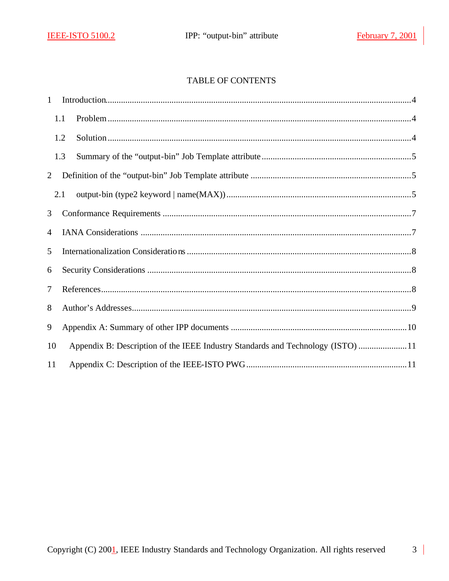# TABLE OF CONTENTS

| $\mathbf{1}$   |     |                                                                                 |  |
|----------------|-----|---------------------------------------------------------------------------------|--|
|                | 1.1 |                                                                                 |  |
|                | 1.2 |                                                                                 |  |
|                | 1.3 |                                                                                 |  |
| 2              |     |                                                                                 |  |
|                | 2.1 |                                                                                 |  |
| 3              |     |                                                                                 |  |
| $\overline{4}$ |     |                                                                                 |  |
| 5              |     |                                                                                 |  |
| 6              |     |                                                                                 |  |
| 7              |     |                                                                                 |  |
| 8              |     |                                                                                 |  |
| 9              |     |                                                                                 |  |
| 10             |     | Appendix B: Description of the IEEE Industry Standards and Technology (ISTO) 11 |  |
| 11             |     |                                                                                 |  |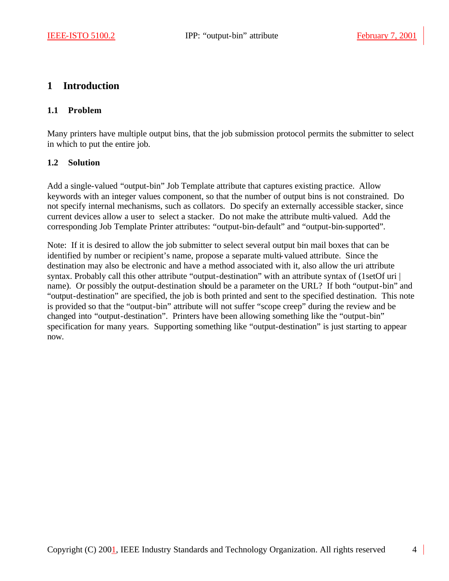# **1 Introduction**

#### **1.1 Problem**

Many printers have multiple output bins, that the job submission protocol permits the submitter to select in which to put the entire job.

#### **1.2 Solution**

Add a single-valued "output-bin" Job Template attribute that captures existing practice. Allow keywords with an integer values component, so that the number of output bins is not constrained. Do not specify internal mechanisms, such as collators. Do specify an externally accessible stacker, since current devices allow a user to select a stacker. Do not make the attribute multi-valued. Add the corresponding Job Template Printer attributes: "output-bin-default" and "output-bin-supported".

Note: If it is desired to allow the job submitter to select several output bin mail boxes that can be identified by number or recipient's name, propose a separate multi-valued attribute. Since the destination may also be electronic and have a method associated with it, also allow the uri attribute syntax. Probably call this other attribute "output-destination" with an attribute syntax of (1setOf uri | name). Or possibly the output-destination should be a parameter on the URL? If both "output-bin" and "output-destination" are specified, the job is both printed and sent to the specified destination. This note is provided so that the "output-bin" attribute will not suffer "scope creep" during the review and be changed into "output-destination". Printers have been allowing something like the "output-bin" specification for many years. Supporting something like "output-destination" is just starting to appear now.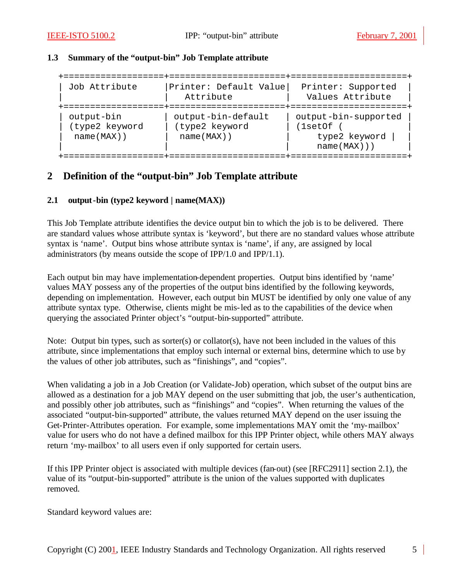#### **1.3 Summary of the "output-bin" Job Template attribute**

| Job Attribute                                 | Printer: Default Value<br>Attribute                   | Printer: Supported<br>Values Attribute                         |
|-----------------------------------------------|-------------------------------------------------------|----------------------------------------------------------------|
| output-bin<br>(type2 keyword<br>$name(MAX)$ ) | output-bin-default<br>(type2 keyword<br>$name(MAX)$ ) | output-bin-supported<br>(lsetOf<br>type2 keyword<br>name(MAX)) |

# **2 Definition of the "output-bin" Job Template attribute**

#### **2.1 output-bin (type2 keyword | name(MAX))**

This Job Template attribute identifies the device output bin to which the job is to be delivered. There are standard values whose attribute syntax is 'keyword', but there are no standard values whose attribute syntax is 'name'. Output bins whose attribute syntax is 'name', if any, are assigned by local administrators (by means outside the scope of IPP/1.0 and IPP/1.1).

Each output bin may have implementation-dependent properties. Output bins identified by 'name' values MAY possess any of the properties of the output bins identified by the following keywords, depending on implementation. However, each output bin MUST be identified by only one value of any attribute syntax type. Otherwise, clients might be mis-led as to the capabilities of the device when querying the associated Printer object's "output-bin-supported" attribute.

Note: Output bin types, such as sorter(s) or collator(s), have not been included in the values of this attribute, since implementations that employ such internal or external bins, determine which to use by the values of other job attributes, such as "finishings", and "copies".

When validating a job in a Job Creation (or Validate-Job) operation, which subset of the output bins are allowed as a destination for a job MAY depend on the user submitting that job, the user's authentication, and possibly other job attributes, such as "finishings" and "copies". When returning the values of the associated "output-bin-supported" attribute, the values returned MAY depend on the user issuing the Get-Printer-Attributes operation. For example, some implementations MAY omit the 'my-mailbox' value for users who do not have a defined mailbox for this IPP Printer object, while others MAY always return 'my-mailbox' to all users even if only supported for certain users.

If this IPP Printer object is associated with multiple devices (fan-out) (see [RFC2911] section 2.1), the value of its "output-bin-supported" attribute is the union of the values supported with duplicates removed.

Standard keyword values are: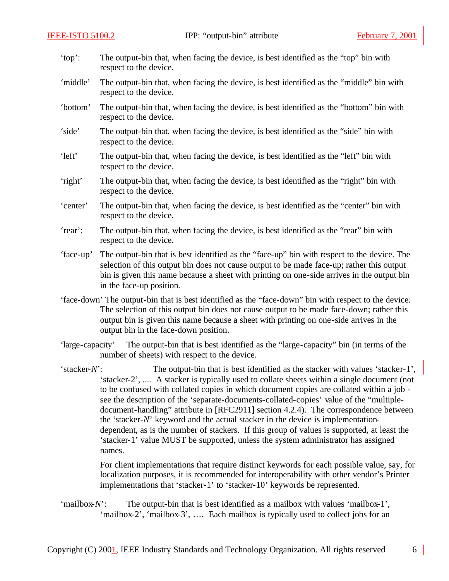- 'top': The output-bin that, when facing the device, is best identified as the "top" bin with respect to the device.
- 'middle' The output-bin that, when facing the device, is best identified as the "middle" bin with respect to the device.
- 'bottom' The output-bin that, when facing the device, is best identified as the "bottom" bin with respect to the device.
- 'side' The output-bin that, when facing the device, is best identified as the "side" bin with respect to the device.
- 'left' The output-bin that, when facing the device, is best identified as the "left" bin with respect to the device.
- 'right' The output-bin that, when facing the device, is best identified as the "right" bin with respect to the device.
- 'center' The output-bin that, when facing the device, is best identified as the "center" bin with respect to the device.
- 'rear': The output-bin that, when facing the device, is best identified as the "rear" bin with respect to the device.
- 'face-up' The output-bin that is best identified as the "face-up" bin with respect to the device. The selection of this output bin does not cause output to be made face-up; rather this output bin is given this name because a sheet with printing on one-side arrives in the output bin in the face-up position.
- 'face-down' The output-bin that is best identified as the "face-down" bin with respect to the device. The selection of this output bin does not cause output to be made face-down; rather this output bin is given this name because a sheet with printing on one-side arrives in the output bin in the face-down position.
- 'large-capacity' The output-bin that is best identified as the "large-capacity" bin (in terms of the number of sheets) with respect to the device.
- 'stacker-*N*': The output-bin that is best identified as the stacker with values 'stacker-1', 'stacker-2', .... A stacker is typically used to collate sheets within a single document (not to be confused with collated copies in which document copies are collated within a job see the description of the 'separate-documents-collated-copies' value of the "multipledocument-handling" attribute in [RFC2911] section 4.2.4). The correspondence between the 'stacker-*N*' keyword and the actual stacker in the device is implementationdependent, as is the number of stackers. If this group of values is supported, at least the 'stacker-1' value MUST be supported, unless the system administrator has assigned names.

For client implementations that require distinct keywords for each possible value, say, for localization purposes, it is recommended for interoperability with other vendor's Printer implementations that 'stacker-1' to 'stacker-10' keywords be represented.

'mailbox-*N*': The output-bin that is best identified as a mailbox with values 'mailbox-1', 'mailbox-2', 'mailbox-3', …. Each mailbox is typically used to collect jobs for an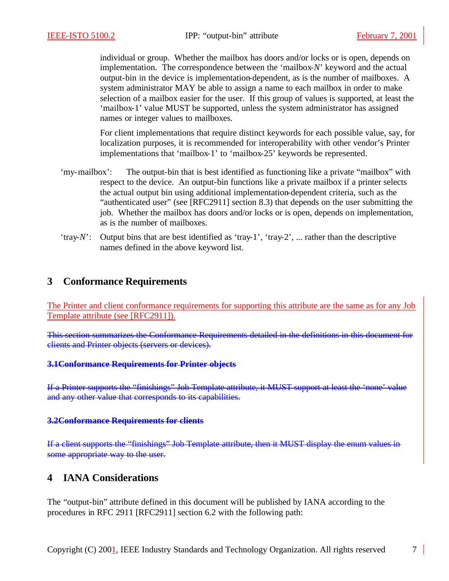individual or group. Whether the mailbox has doors and/or locks or is open, depends on implementation. The correspondence between the 'mailbox-*N*' keyword and the actual output-bin in the device is implementation-dependent, as is the number of mailboxes. A system administrator MAY be able to assign a name to each mailbox in order to make selection of a mailbox easier for the user. If this group of values is supported, at least the 'mailbox-1' value MUST be supported, unless the system administrator has assigned names or integer values to mailboxes.

For client implementations that require distinct keywords for each possible value, say, for localization purposes, it is recommended for interoperability with other vendor's Printer implementations that 'mailbox-1' to 'mailbox-25' keywords be represented.

- 'my-mailbox': The output-bin that is best identified as functioning like a private "mailbox" with respect to the device. An output-bin functions like a private mailbox if a printer selects the actual output bin using additional implementation-dependent criteria, such as the "authenticated user" (see [RFC2911] section 8.3) that depends on the user submitting the job. Whether the mailbox has doors and/or locks or is open, depends on implementation, as is the number of mailboxes.
- 'tray-*N*': Output bins that are best identified as 'tray-1', 'tray-2', ... rather than the descriptive names defined in the above keyword list.

# **3 Conformance Requirements**

The Printer and client conformance requirements for supporting this attribute are the same as for any Job Template attribute (see [RFC2911]).

This section summarizes the Conformance Requirements detailed in the definitions in this document for clients and Printer objects (servers or devices).

#### **3.1Conformance Requirements for Printer objects**

If a Printer supports the "finishings" Job Template attribute, it MUST support at least the 'none' value and any other value that corresponds to its capabilities.

#### **3.2Conformance Requirements for clients**

If a client supports the "finishings" Job Template attribute, then it MUST display the enum values in some appropriate way to the user.

### **4 IANA Considerations**

The "output-bin" attribute defined in this document will be published by IANA according to the procedures in RFC 2911 [RFC2911] section 6.2 with the following path: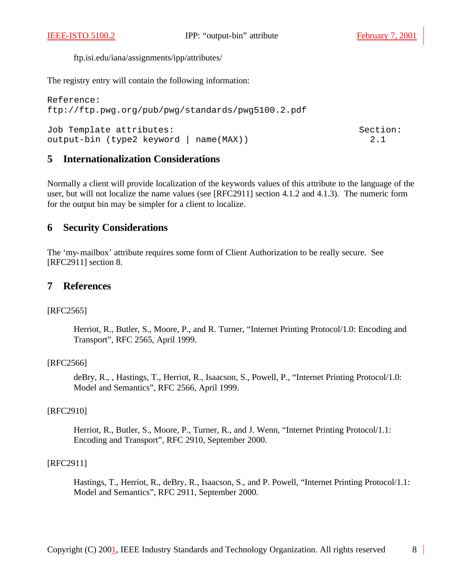ftp.isi.edu/iana/assignments/ipp/attributes/

The registry entry will contain the following information:

```
Reference: 
ftp://ftp.pwg.org/pub/pwg/standards/pwg5100.2.pdf
Job Template attributes: Section:
output-bin (type2 keyword | name(MAX)) 2.1
```
# **5 Internationalization Considerations**

Normally a client will provide localization of the keywords values of this attribute to the language of the user, but will not localize the name values (see [RFC2911] section 4.1.2 and 4.1.3). The numeric form for the output bin may be simpler for a client to localize.

#### **6 Security Considerations**

The 'my-mailbox' attribute requires some form of Client Authorization to be really secure. See [RFC2911] section 8.

#### **7 References**

#### [RFC2565]

Herriot, R., Butler, S., Moore, P., and R. Turner, "Internet Printing Protocol/1.0: Encoding and Transport", RFC 2565, April 1999.

#### [RFC2566]

deBry, R., , Hastings, T., Herriot, R., Isaacson, S., Powell, P., "Internet Printing Protocol/1.0: Model and Semantics", RFC 2566, April 1999.

#### [RFC2910]

Herriot, R., Butler, S., Moore, P., Turner, R., and J. Wenn, "Internet Printing Protocol/1.1: Encoding and Transport", RFC 2910, September 2000.

#### [RFC2911]

Hastings, T., Herriot, R., deBry, R., Isaacson, S., and P. Powell, "Internet Printing Protocol/1.1: Model and Semantics", RFC 2911, September 2000.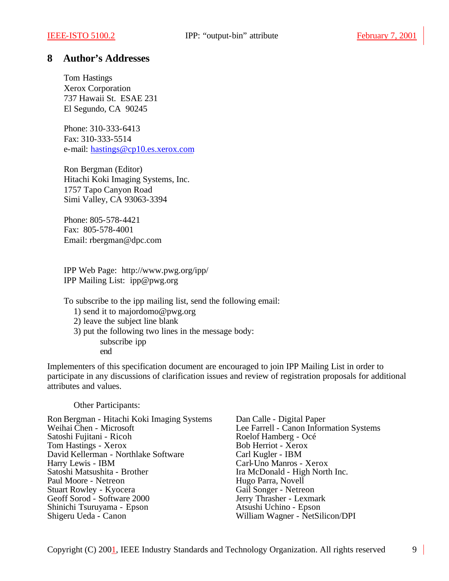#### **8 Author's Addresses**

Tom Hastings Xerox Corporation 737 Hawaii St. ESAE 231 El Segundo, CA 90245

Phone: 310-333-6413 Fax: 310-333-5514 e-mail: hastings@cp10.es.xerox.com

Ron Bergman (Editor) Hitachi Koki Imaging Systems, Inc. 1757 Tapo Canyon Road Simi Valley, CA 93063-3394

Phone: 805-578-4421 Fax: 805-578-4001 Email: rbergman@dpc.com

IPP Web Page: http://www.pwg.org/ipp/ IPP Mailing List: ipp@pwg.org

To subscribe to the ipp mailing list, send the following email:

- 1) send it to majordomo@pwg.org
- 2) leave the subject line blank
- 3) put the following two lines in the message body:
	- subscribe ipp end

Implementers of this specification document are encouraged to join IPP Mailing List in order to participate in any discussions of clarification issues and review of registration proposals for additional attributes and values.

Other Participants:

Ron Bergman - Hitachi Koki Imaging Systems Dan Calle - Digital Paper<br>Weihai Chen - Microsoft Lee Farrell - Canon Inform Satoshi Fujitani - Ricoh Roelof Hamberg - Och Roelof Hamberg - Och Roelof Hamberg - Och Roelof Hamberg - Och Roelof Hamberg - Och Roelof Hamberg - Och Roelof Hamberg - Och Roelof Hamberg - Och Roelof Hamberg - Och Roelof H Tom Hastings - Xerox Bob Herriot - Xero<br>
David Kellerman - Northlake Software Carl Kugler - IBM David Kellerman - Northlake Software Harry Lewis - IBM Carl-Uno Manros - Xerox Paul Moore - Netreon Stuart Rowley - Kyocera<br>
Gail Songer - Netreon<br>
Gail Songer - Netreon<br>
Jerry Thrasher - Lexmark Geoff Sorod - Software 2000 Jerry Thrasher - Lexmarl<br>Shinichi Tsuruyama - Epson Atsushi Uchino - Epson Shinichi Tsuruyama - Epson<br>Shigeru Ueda - Canon

Lee Farrell - Canon Information Systems<br>Roelof Hamberg - Océ Ira McDonald - High North Inc.<br>Hugo Parra, Novell William Wagner - NetSilicon/DPI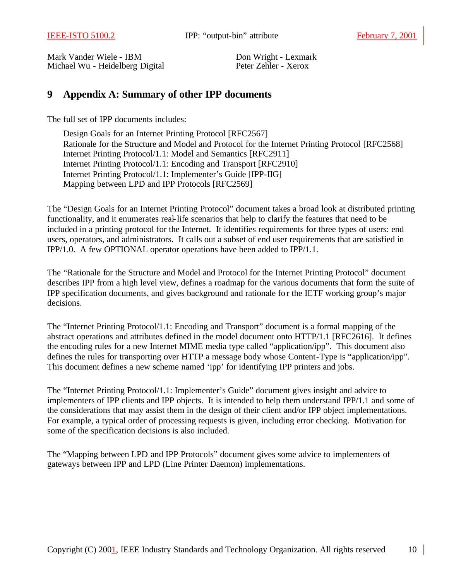Mark Vander Wiele - IBM<br>
Michael Wu - Heidelberg Digital<br>
Peter Zehler - Xerox Michael Wu - Heidelberg Digital

# **9 Appendix A: Summary of other IPP documents**

The full set of IPP documents includes:

Design Goals for an Internet Printing Protocol [RFC2567] Rationale for the Structure and Model and Protocol for the Internet Printing Protocol [RFC2568] Internet Printing Protocol/1.1: Model and Semantics [RFC2911] Internet Printing Protocol/1.1: Encoding and Transport [RFC2910] Internet Printing Protocol/1.1: Implementer's Guide [IPP-IIG] Mapping between LPD and IPP Protocols [RFC2569]

The "Design Goals for an Internet Printing Protocol" document takes a broad look at distributed printing functionality, and it enumerates real-life scenarios that help to clarify the features that need to be included in a printing protocol for the Internet. It identifies requirements for three types of users: end users, operators, and administrators. It calls out a subset of end user requirements that are satisfied in IPP/1.0. A few OPTIONAL operator operations have been added to IPP/1.1.

The "Rationale for the Structure and Model and Protocol for the Internet Printing Protocol" document describes IPP from a high level view, defines a roadmap for the various documents that form the suite of IPP specification documents, and gives background and rationale for the IETF working group's major decisions.

The "Internet Printing Protocol/1.1: Encoding and Transport" document is a formal mapping of the abstract operations and attributes defined in the model document onto HTTP/1.1 [RFC2616]. It defines the encoding rules for a new Internet MIME media type called "application/ipp". This document also defines the rules for transporting over HTTP a message body whose Content-Type is "application/ipp". This document defines a new scheme named 'ipp' for identifying IPP printers and jobs.

The "Internet Printing Protocol/1.1: Implementer's Guide" document gives insight and advice to implementers of IPP clients and IPP objects. It is intended to help them understand IPP/1.1 and some of the considerations that may assist them in the design of their client and/or IPP object implementations. For example, a typical order of processing requests is given, including error checking. Motivation for some of the specification decisions is also included.

The "Mapping between LPD and IPP Protocols" document gives some advice to implementers of gateways between IPP and LPD (Line Printer Daemon) implementations.